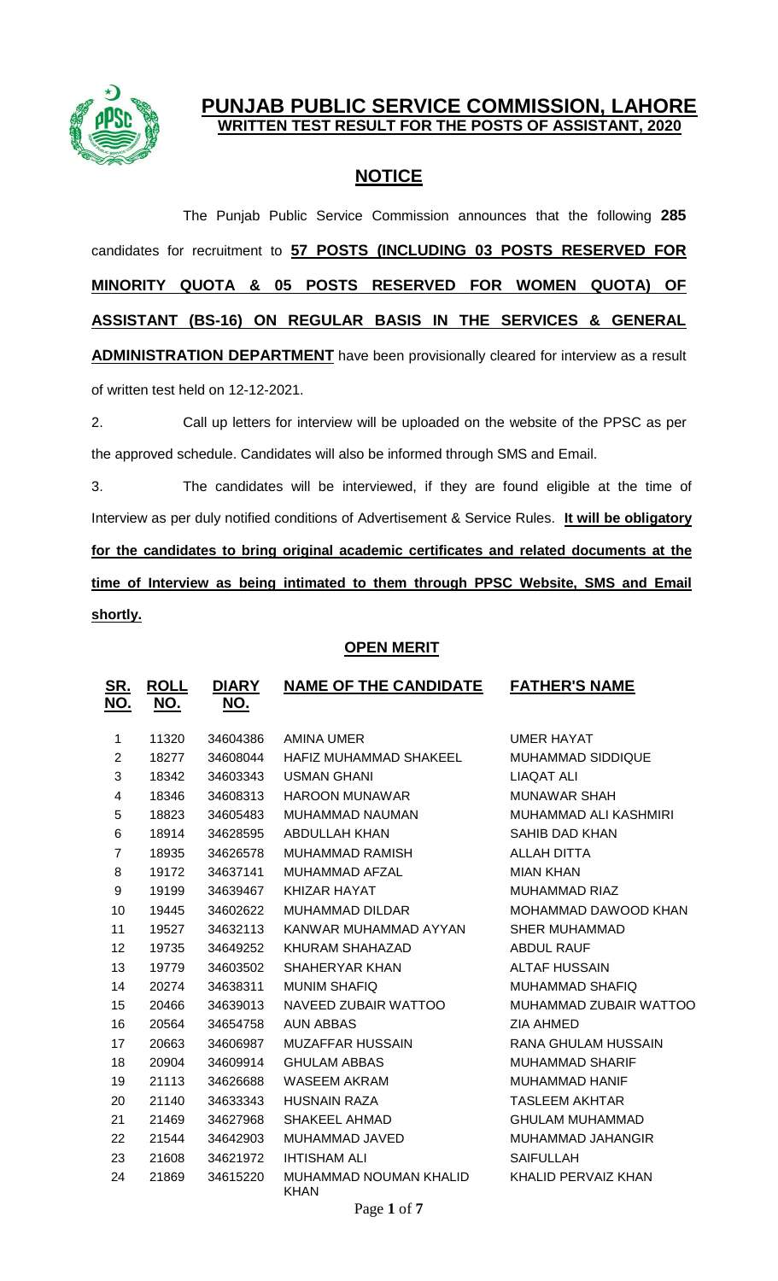

## **PUNJAB PUBLIC SERVICE COMMISSION, LAHORE WRITTEN TEST RESULT FOR THE POSTS OF ASSISTANT, 2020**

# **NOTICE**

The Punjab Public Service Commission announces that the following **285** candidates for recruitment to **57 POSTS (INCLUDING 03 POSTS RESERVED FOR MINORITY QUOTA & 05 POSTS RESERVED FOR WOMEN QUOTA) OF ASSISTANT (BS-16) ON REGULAR BASIS IN THE SERVICES & GENERAL ADMINISTRATION DEPARTMENT** have been provisionally cleared for interview as a result of written test held on 12-12-2021.

2. Call up letters for interview will be uploaded on the website of the PPSC as per the approved schedule. Candidates will also be informed through SMS and Email.

3. The candidates will be interviewed, if they are found eligible at the time of Interview as per duly notified conditions of Advertisement & Service Rules. **It will be obligatory for the candidates to bring original academic certificates and related documents at the time of Interview as being intimated to them through PPSC Website, SMS and Email shortly.**

### **OPEN MERIT**

| <u>SR.</u><br><u>NO.</u> | <b>ROLL</b><br><u>NO.</u> | <b>DIARY</b><br><u>NO.</u> | <b>NAME OF THE CANDIDATE</b>          | <b>FATHER'S NAME</b>     |
|--------------------------|---------------------------|----------------------------|---------------------------------------|--------------------------|
| 1                        | 11320                     | 34604386                   | AMINA UMER                            | <b>UMER HAYAT</b>        |
| $\overline{2}$           | 18277                     | 34608044                   | HAFIZ MUHAMMAD SHAKEEL                | <b>MUHAMMAD SIDDIQUE</b> |
| 3                        | 18342                     | 34603343                   | <b>USMAN GHANI</b>                    | LIAQAT ALI               |
| $\overline{\mathcal{A}}$ | 18346                     | 34608313                   | <b>HAROON MUNAWAR</b>                 | <b>MUNAWAR SHAH</b>      |
| 5                        | 18823                     | 34605483                   | MUHAMMAD NAUMAN                       | MUHAMMAD ALI KASHMIRI    |
| 6                        | 18914                     | 34628595                   | ABDULLAH KHAN                         | <b>SAHIB DAD KHAN</b>    |
| $\overline{7}$           | 18935                     | 34626578                   | MUHAMMAD RAMISH                       | ALLAH DITTA              |
| 8                        | 19172                     | 34637141                   | MUHAMMAD AFZAL                        | <b>MIAN KHAN</b>         |
| 9                        | 19199                     | 34639467                   | KHIZAR HAYAT                          | <b>MUHAMMAD RIAZ</b>     |
| 10                       | 19445                     | 34602622                   | <b>MUHAMMAD DILDAR</b>                | MOHAMMAD DAWOOD KHAN     |
| 11                       | 19527                     | 34632113                   | KANWAR MUHAMMAD AYYAN                 | <b>SHER MUHAMMAD</b>     |
| 12                       | 19735                     | 34649252                   | KHURAM SHAHAZAD                       | <b>ABDUL RAUF</b>        |
| 13                       | 19779                     | 34603502                   | SHAHERYAR KHAN                        | <b>ALTAF HUSSAIN</b>     |
| 14                       | 20274                     | 34638311                   | <b>MUNIM SHAFIQ</b>                   | <b>MUHAMMAD SHAFIQ</b>   |
| 15                       | 20466                     | 34639013                   | NAVEED ZUBAIR WATTOO                  | MUHAMMAD ZUBAIR WATTOO   |
| 16                       | 20564                     | 34654758                   | <b>AUN ABBAS</b>                      | <b>ZIA AHMED</b>         |
| 17                       | 20663                     | 34606987                   | <b>MUZAFFAR HUSSAIN</b>               | RANA GHULAM HUSSAIN      |
| 18                       | 20904                     | 34609914                   | <b>GHULAM ABBAS</b>                   | MUHAMMAD SHARIF          |
| 19                       | 21113                     | 34626688                   | WASEEM AKRAM                          | <b>MUHAMMAD HANIF</b>    |
| 20                       | 21140                     | 34633343                   | <b>HUSNAIN RAZA</b>                   | <b>TASLEEM AKHTAR</b>    |
| 21                       | 21469                     | 34627968                   | SHAKEEL AHMAD                         | <b>GHULAM MUHAMMAD</b>   |
| 22                       | 21544                     | 34642903                   | MUHAMMAD JAVED                        | MUHAMMAD JAHANGIR        |
| 23                       | 21608                     | 34621972                   | <b>IHTISHAM ALI</b>                   | <b>SAIFULLAH</b>         |
| 24                       | 21869                     | 34615220                   | MUHAMMAD NOUMAN KHALID<br><b>KHAN</b> | KHALID PERVAIZ KHAN      |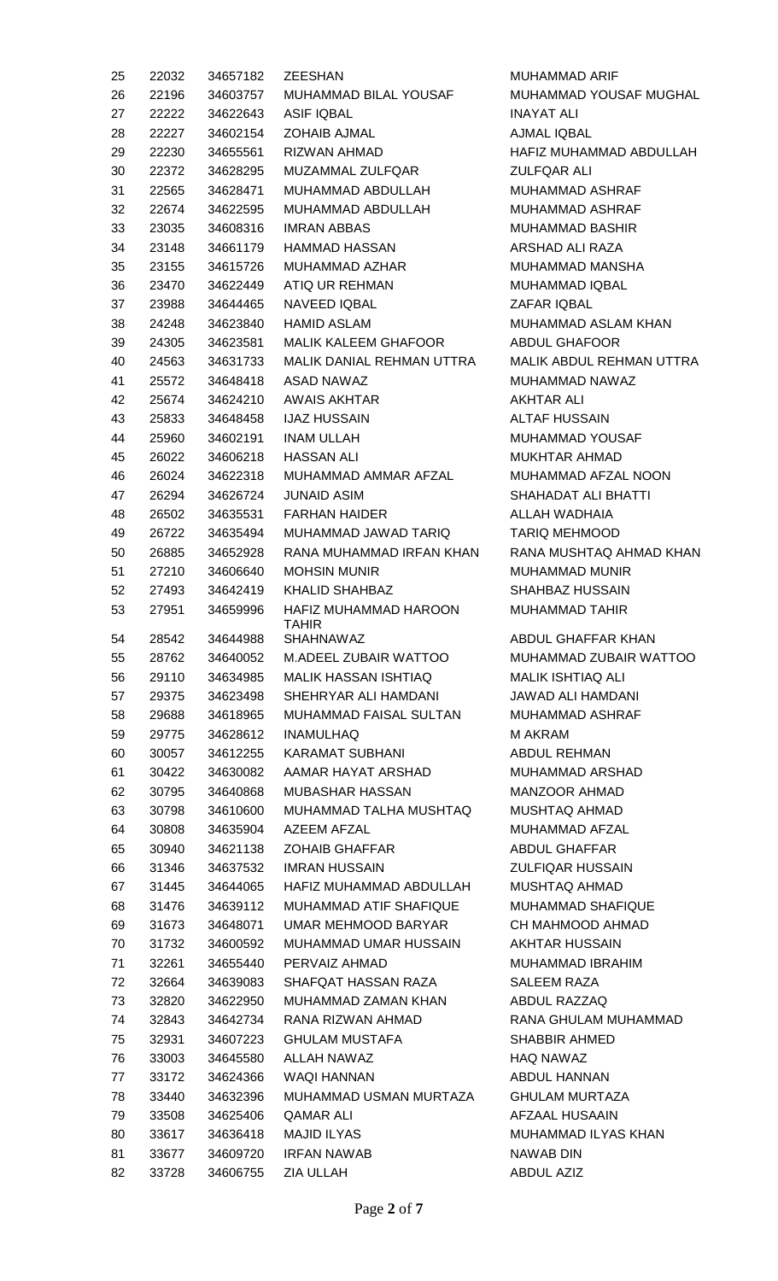| 25 | 22032 | 34657182 | ZEESHAN                               |
|----|-------|----------|---------------------------------------|
| 26 | 22196 | 34603757 | MUHAMMAD BILAL YOUSAF                 |
| 27 | 22222 | 34622643 | ASIF IQBAL                            |
| 28 | 22227 | 34602154 | ZOHAIB AJMAL                          |
| 29 | 22230 | 34655561 | RIZWAN AHMAD                          |
| 30 | 22372 | 34628295 | <b>MUZAMMAL ZULFQAR</b>               |
| 31 | 22565 | 34628471 | MUHAMMAD ABDULLAH                     |
| 32 | 22674 | 34622595 | MUHAMMAD ABDULLAH                     |
| 33 | 23035 | 34608316 | IMRAN ABBAS                           |
| 34 | 23148 | 34661179 | HAMMAD HASSAN                         |
| 35 | 23155 | 34615726 | MUHAMMAD AZHAR                        |
| 36 | 23470 | 34622449 | ATIQ UR REHMAN                        |
| 37 | 23988 | 34644465 | NAVEED IQBAL                          |
| 38 | 24248 | 34623840 | HAMID ASLAM                           |
| 39 | 24305 | 34623581 | <b>MALIK KALEEM GHAFOOR</b>           |
| 40 | 24563 | 34631733 | MALIK DANIAL REHMAN UTTRA             |
| 41 | 25572 | 34648418 | ASAD NAWAZ                            |
| 42 | 25674 | 34624210 | AWAIS AKHTAR                          |
|    |       |          | <b>IJAZ HUSSAIN</b>                   |
| 43 | 25833 | 34648458 |                                       |
| 44 | 25960 | 34602191 | INAM ULLAH                            |
| 45 | 26022 | 34606218 | <b>HASSAN ALI</b>                     |
| 46 | 26024 | 34622318 | MUHAMMAD AMMAR AFZAL                  |
| 47 | 26294 | 34626724 | <b>JUNAID ASIM</b>                    |
| 48 | 26502 | 34635531 | FARHAN HAIDER                         |
| 49 | 26722 | 34635494 | MUHAMMAD JAWAD TARIQ                  |
| 50 | 26885 | 34652928 | RANA MUHAMMAD IRFAN KHAN              |
| 51 | 27210 | 34606640 | <b>MOHSIN MUNIR</b>                   |
| 52 | 27493 | 34642419 | <b>KHALID SHAHBAZ</b>                 |
| 53 | 27951 | 34659996 | <b>HAFIZ MUHAMMAD HAROON</b><br>TAHIR |
| 54 | 28542 | 34644988 | SHAHNAWAZ                             |
| 55 | 28762 | 34640052 | M.ADEEL ZUBAIR WATTOO                 |
| 56 | 29110 | 34634985 | <b>MALIK HASSAN ISHTIAQ</b>           |
| 57 | 29375 | 34623498 | SHEHRYAR ALI HAMDANI                  |
| 58 | 29688 | 34618965 | MUHAMMAD FAISAL SULTAN                |
| 59 | 29775 | 34628612 | <b>INAMULHAQ</b>                      |
| 60 | 30057 | 34612255 | <b>KARAMAT SUBHANI</b>                |
| 61 | 30422 | 34630082 | AAMAR HAYAT ARSHAD                    |
| 62 | 30795 | 34640868 | MUBASHAR HASSAN                       |
| 63 | 30798 | 34610600 | MUHAMMAD TALHA MUSHTAQ                |
| 64 | 30808 | 34635904 | AZEEM AFZAL                           |
| 65 | 30940 | 34621138 | <b>ZOHAIB GHAFFAR</b>                 |
| 66 | 31346 |          | 34637532 IMRAN HUSSAIN                |
| 67 | 31445 | 34644065 | HAFIZ MUHAMMAD ABDULLAH               |
| 68 | 31476 | 34639112 | MUHAMMAD ATIF SHAFIQUE                |
| 69 | 31673 | 34648071 | UMAR MEHMOOD BARYAR                   |
| 70 | 31732 | 34600592 | MUHAMMAD UMAR HUSSAIN                 |
| 71 | 32261 | 34655440 | PERVAIZ AHMAD                         |
| 72 | 32664 | 34639083 | SHAFQAT HASSAN RAZA                   |
| 73 | 32820 | 34622950 | MUHAMMAD ZAMAN KHAN                   |
| 74 | 32843 | 34642734 | RANA RIZWAN AHMAD                     |
| 75 | 32931 | 34607223 | <b>GHULAM MUSTAFA</b>                 |
| 76 | 33003 | 34645580 | ALLAH NAWAZ                           |
| 77 | 33172 | 34624366 | WAQI HANNAN                           |
| 78 | 33440 | 34632396 | MUHAMMAD USMAN MURTAZA                |
| 79 | 33508 | 34625406 | <b>QAMAR ALI</b>                      |
|    |       |          | <b>MAJID ILYAS</b>                    |
| 80 | 33617 | 34636418 | <b>IRFAN NAWAB</b>                    |
| 81 | 33677 | 34609720 |                                       |
| 82 | 33728 | 34606755 | ZIA ULLAH                             |

MUHAMMAD ARIF MUHAMMAD YOUSAF MUGHAL **INAYAT ALI** AJMAL IQBAL HAFIZ MUHAMMAD ABDULLAH **ZULFQAR ALI** MUHAMMAD ASHRAF MUHAMMAD ASHRAF MUHAMMAD BASHIR ARSHAD ALI RAZA MUHAMMAD MANSHA MUHAMMAD IQBAL ZAFAR IQBAL MUHAMMAD ASLAM KHAN ABDUL GHAFOOR MALIK ABDUL REHMAN UTTRA MUHAMMAD NAWAZ **AKHTAR ALI** ALTAF HUSSAIN MUHAMMAD YOUSAF MUKHTAR AHMAD MUHAMMAD AFZAL NOON SHAHADAT ALI BHATTI ALLAH WADHAIA TARIQ MEHMOOD RANA MUSHTAQ AHMAD KHAN MUHAMMAD MUNIR SHAHBAZ HUSSAIN MUHAMMAD TAHIR ABDUL GHAFFAR KHAN 55 28762 34640052 M.ADEEL ZUBAIR WATTOO MUHAMMAD ZUBAIR WATTOO MALIK ISHTIAQ ALI JAWAD ALI HAMDANI MUHAMMAD ASHRAF M AKRAM ABDUL REHMAN MUHAMMAD ARSHAD MANZOOR AHMAD MUSHTAQ AHMAD MUHAMMAD AFZAL ABDUL GHAFFAR **ZULFIQAR HUSSAIN** MUSHTAQ AHMAD MUHAMMAD SHAFIQUE CH MAHMOOD AHMAD AKHTAR HUSSAIN MUHAMMAD IBRAHIM SALEEM RAZA ABDUL RAZZAQ RANA GHULAM MUHAMMAD SHABBIR AHMED HAQ NAWAZ ABDUL HANNAN GHULAM MURTAZA AFZAAL HUSAAIN MUHAMMAD ILYAS KHAN NAWAB DIN ABDUL AZIZ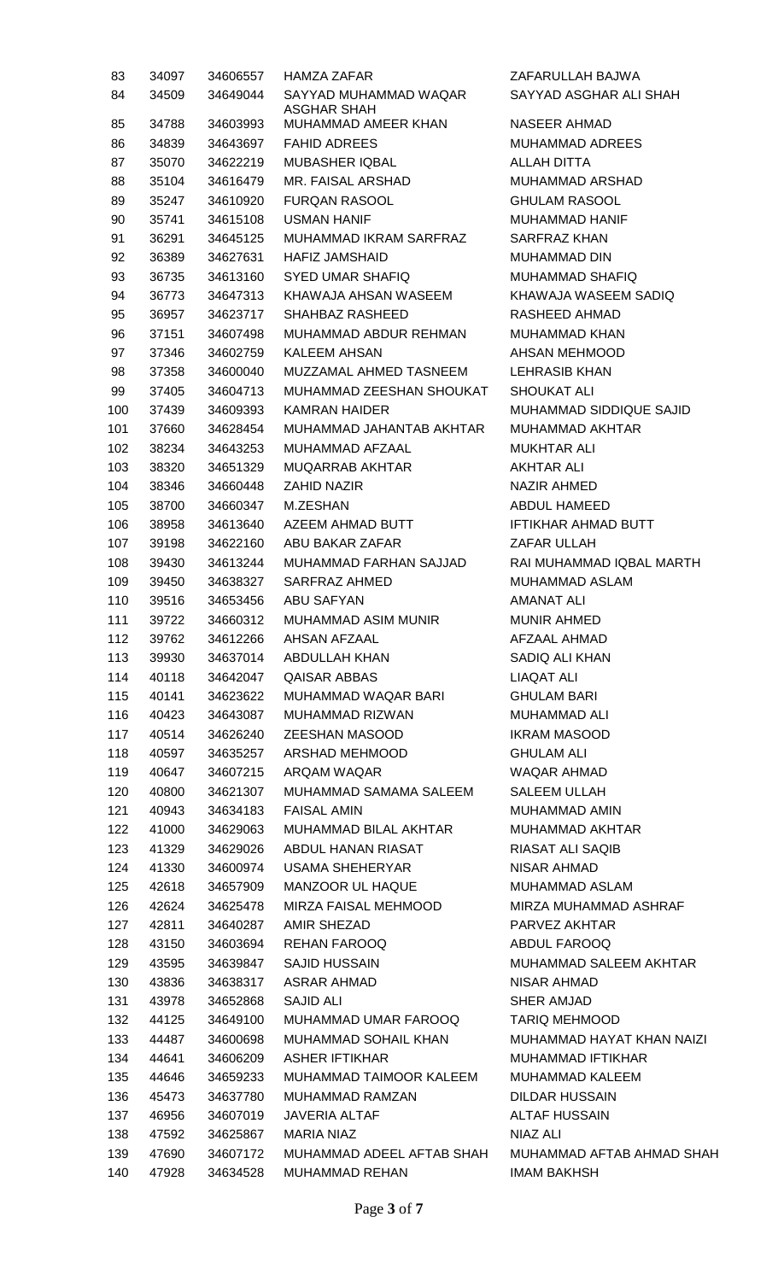| 83  | 34097 | 34606557             | HAMZA ZAFAR                                  |
|-----|-------|----------------------|----------------------------------------------|
| 84  | 34509 | 34649044             | SAYYAD MUHAMMAD WAQAR                        |
|     |       |                      | ASGHAR SHAH                                  |
| 85  | 34788 | 34603993             | MUHAMMAD AMEER KHAN                          |
| 86  | 34839 | 34643697             | <b>FAHID ADREES</b>                          |
| 87  | 35070 | 34622219             | <b>MUBASHER IQBAL</b>                        |
| 88  | 35104 | 34616479             | MR. FAISAL ARSHAD                            |
| 89  | 35247 | 34610920             | FURQAN RASOOL                                |
| 90  | 35741 | 34615108             | <b>USMAN HANIF</b>                           |
| 91  | 36291 | 34645125             | MUHAMMAD IKRAM SARFRAZ                       |
| 92  | 36389 | 34627631             | HAFIZ JAMSHAID                               |
| 93  | 36735 | 34613160             | SYED UMAR SHAFIQ                             |
| 94  | 36773 | 34647313             | KHAWAJA AHSAN WASEEM                         |
| 95  | 36957 | 34623717             | SHAHBAZ RASHEED                              |
| 96  | 37151 | 34607498             | MUHAMMAD ABDUR REHMAN                        |
| 97  | 37346 | 34602759             | KALEEM AHSAN                                 |
| 98  | 37358 | 34600040             | MUZZAMAL AHMED TASNEEM                       |
| 99  | 37405 | 34604713             | MUHAMMAD ZEESHAN SHOUKAT                     |
| 100 | 37439 | 34609393             | <b>KAMRAN HAIDER</b>                         |
| 101 | 37660 | 34628454             | MUHAMMAD JAHANTAB AKHTAR                     |
| 102 | 38234 | 34643253             | MUHAMMAD AFZAAL                              |
| 103 | 38320 | 34651329             | MUQARRAB AKHTAR                              |
| 104 | 38346 | 34660448             | ZAHID NAZIR                                  |
| 105 | 38700 | 34660347             | M.ZESHAN                                     |
| 106 | 38958 | 34613640             | AZEEM AHMAD BUTT                             |
| 107 | 39198 | 34622160             | ABU BAKAR ZAFAR                              |
| 108 | 39430 | 34613244             | MUHAMMAD FARHAN SAJJAD                       |
| 109 | 39450 | 34638327             | SARFRAZ AHMED                                |
| 110 | 39516 | 34653456             | ABU SAFYAN                                   |
| 111 | 39722 | 34660312             | MUHAMMAD ASIM MUNIR                          |
| 112 | 39762 | 34612266             | AHSAN AFZAAL                                 |
| 113 | 39930 | 34637014             | ABDULLAH KHAN                                |
| 114 | 40118 | 34642047             | QAISAR ABBAS                                 |
| 115 | 40141 | 34623622             | <b>MUHAMMAD WAQAR BARI</b>                   |
| 116 | 40423 | 34643087             | MUHAMMAD RIZWAN                              |
| 117 | 40514 | 34626240             | <b>ZEESHAN MASOOD</b>                        |
| 118 | 40597 | 34635257             | ARSHAD MEHMOOD                               |
| 119 | 40647 | 34607215             | ARQAM WAQAR                                  |
|     | 40800 | 34621307             |                                              |
| 120 | 40943 |                      | MUHAMMAD SAMAMA SALEEM<br><b>FAISAL AMIN</b> |
| 121 |       | 34634183<br>34629063 |                                              |
| 122 | 41000 |                      | MUHAMMAD BILAL AKHTAR                        |
| 123 | 41329 | 34629026             | ABDUL HANAN RIASAT                           |
| 124 | 41330 | 34600974             | USAMA SHEHERYAR                              |
| 125 | 42618 | 34657909             | <b>MANZOOR UL HAQUE</b>                      |
| 126 | 42624 | 34625478             | MIRZA FAISAL MEHMOOD                         |
| 127 | 42811 | 34640287             | AMIR SHEZAD                                  |
| 128 | 43150 | 34603694             | <b>REHAN FAROOQ</b>                          |
| 129 | 43595 | 34639847             | SAJID HUSSAIN                                |
| 130 | 43836 | 34638317             | ASRAR AHMAD                                  |
| 131 | 43978 | 34652868             | SAJID ALI                                    |
| 132 | 44125 | 34649100             | MUHAMMAD UMAR FAROOQ                         |
| 133 | 44487 | 34600698             | MUHAMMAD SOHAIL KHAN                         |
| 134 | 44641 | 34606209             | ASHER IFTIKHAR                               |
| 135 | 44646 | 34659233             | MUHAMMAD TAIMOOR KALEEM                      |
| 136 | 45473 | 34637780             | <b>MUHAMMAD RAMZAN</b>                       |
| 137 | 46956 | 34607019             | JAVERIA ALTAF                                |
| 138 | 47592 | 34625867             | MARIA NIAZ                                   |
| 139 | 47690 | 34607172             | MUHAMMAD ADEEL AFTAB SHAH                    |
| 140 | 47928 |                      | 34634528 MUHAMMAD REHAN                      |

ZAFARULLAH BAJWA SAYYAD ASGHAR ALI SHAH NASEER AHMAD MUHAMMAD ADREES **ALLAH DITTA** MUHAMMAD ARSHAD GHULAM RASOOL MUHAMMAD HANIF SARFRAZ KHAN MUHAMMAD DIN MUHAMMAD SHAFIQ KHAWAJA WASEEM SADIQ RASHEED AHMAD MUHAMMAD KHAN AHSAN MEHMOOD LEHRASIB KHAN SHOUKAT ALI MUHAMMAD SIDDIQUE SAJID MUHAMMAD AKHTAR MUKHTAR ALI AKHTAR ALI NAZIR AHMED ABDUL HAMEED IFTIKHAR AHMAD BUTT ZAFAR ULLAH RAI MUHAMMAD IQBAL MARTH MUHAMMAD ASLAM AMANAT ALI MUNIR AHMED AFZAAL AHMAD SADIQ ALI KHAN LIAQAT ALI **GHULAM BARI** MUHAMMAD ALI **IKRAM MASOOD GHULAM ALI** WAQAR AHMAD SALEEM ULLAH MUHAMMAD AMIN MUHAMMAD AKHTAR RIASAT ALI SAQIB NISAR AHMAD MUHAMMAD ASLAM MIRZA MUHAMMAD ASHRAF PARVEZ AKHTAR ABDUL FAROOQ MUHAMMAD SALEEM AKHTAR NISAR AHMAD SHER AMJAD TARIQ MEHMOOD MUHAMMAD HAYAT KHAN NAIZI MUHAMMAD IFTIKHAR MUHAMMAD KALEEM DILDAR HUSSAIN ALTAF HUSSAIN NIAZ ALI MUHAMMAD AFTAB AHMAD SHAH IMAM BAKHSH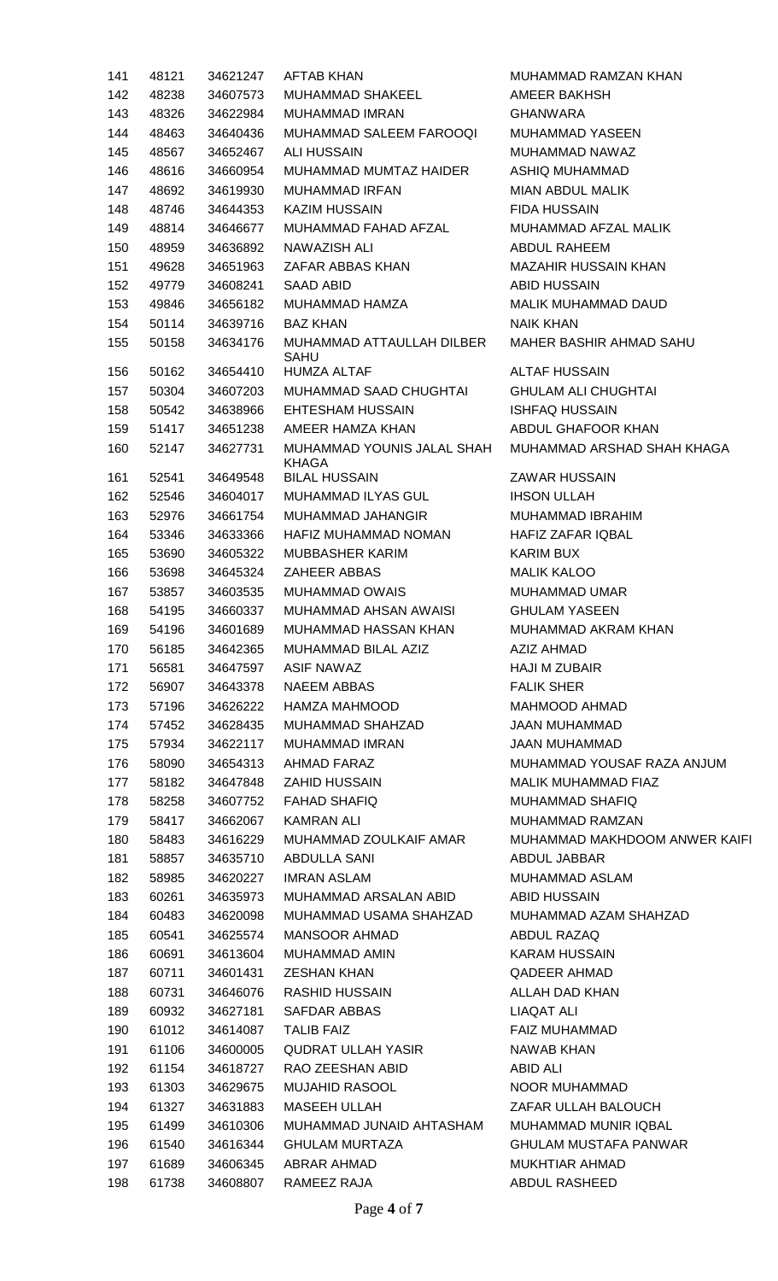| 141 | 48121 | 34621247 | <b>AFTAB KHAN</b>                          | <b>MUHAMMAD RAM</b>    |
|-----|-------|----------|--------------------------------------------|------------------------|
| 142 | 48238 | 34607573 | MUHAMMAD SHAKEEL                           | AMEER BAKHSH           |
| 143 | 48326 | 34622984 | <b>MUHAMMAD IMRAN</b>                      | <b>GHANWARA</b>        |
| 144 | 48463 | 34640436 | <b>MUHAMMAD SALEEM FAROOQI</b>             | <b>MUHAMMAD YASE</b>   |
| 145 | 48567 | 34652467 | <b>ALI HUSSAIN</b>                         | <b>MUHAMMAD NAW</b>    |
| 146 | 48616 | 34660954 | MUHAMMAD MUMTAZ HAIDER                     | ASHIQ MUHAMMA          |
| 147 | 48692 | 34619930 | <b>MUHAMMAD IRFAN</b>                      | <b>MIAN ABDUL MALI</b> |
| 148 | 48746 | 34644353 | <b>KAZIM HUSSAIN</b>                       | <b>FIDA HUSSAIN</b>    |
| 149 | 48814 | 34646677 | MUHAMMAD FAHAD AFZAL                       | MUHAMMAD AFZA          |
| 150 | 48959 | 34636892 | NAWAZISH ALI                               | ABDUL RAHEEM           |
| 151 | 49628 | 34651963 | ZAFAR ABBAS KHAN                           | <b>MAZAHIR HUSSAI</b>  |
| 152 | 49779 | 34608241 | SAAD ABID                                  | <b>ABID HUSSAIN</b>    |
| 153 | 49846 | 34656182 | MUHAMMAD HAMZA                             | <b>MALIK MUHAMMA</b>   |
| 154 | 50114 | 34639716 | <b>BAZ KHAN</b>                            | <b>NAIK KHAN</b>       |
| 155 | 50158 | 34634176 | MUHAMMAD ATTAULLAH DILBER                  | <b>MAHER BASHIR A</b>  |
|     |       |          | <b>SAHU</b>                                |                        |
| 156 | 50162 | 34654410 | <b>HUMZA ALTAF</b>                         | <b>ALTAF HUSSAIN</b>   |
| 157 | 50304 | 34607203 | MUHAMMAD SAAD CHUGHTAI                     | <b>GHULAM ALI CHU</b>  |
| 158 | 50542 | 34638966 | EHTESHAM HUSSAIN                           | <b>ISHFAQ HUSSAIN</b>  |
| 159 | 51417 | 34651238 | AMEER HAMZA KHAN                           | <b>ABDUL GHAFOOR</b>   |
| 160 | 52147 | 34627731 | MUHAMMAD YOUNIS JALAL SHAH<br><b>KHAGA</b> | <b>MUHAMMAD ARSI</b>   |
| 161 | 52541 | 34649548 | <b>BILAL HUSSAIN</b>                       | <b>ZAWAR HUSSAIN</b>   |
| 162 | 52546 | 34604017 | MUHAMMAD ILYAS GUL                         | <b>IHSON ULLAH</b>     |
| 163 | 52976 | 34661754 | <b>MUHAMMAD JAHANGIR</b>                   | <b>MUHAMMAD IBRA</b>   |
| 164 | 53346 | 34633366 | HAFIZ MUHAMMAD NOMAN                       | HAFIZ ZAFAR IQB        |
| 165 | 53690 | 34605322 | <b>MUBBASHER KARIM</b>                     | <b>KARIM BUX</b>       |
| 166 | 53698 | 34645324 | <b>ZAHEER ABBAS</b>                        | <b>MALIK KALOO</b>     |
| 167 | 53857 | 34603535 | <b>MUHAMMAD OWAIS</b>                      | MUHAMMAD UMA           |
| 168 | 54195 | 34660337 | MUHAMMAD AHSAN AWAISI                      | <b>GHULAM YASEEN</b>   |
| 169 | 54196 | 34601689 | MUHAMMAD HASSAN KHAN                       | <b>MUHAMMAD AKR</b>    |
| 170 | 56185 | 34642365 | MUHAMMAD BILAL AZIZ                        | <b>AZIZ AHMAD</b>      |
| 171 | 56581 | 34647597 | <b>ASIF NAWAZ</b>                          | <b>HAJI M ZUBAIR</b>   |
| 172 | 56907 | 34643378 | <b>NAEEM ABBAS</b>                         | <b>FALIK SHER</b>      |
| 173 | 57196 | 34626222 | <b>HAMZA MAHMOOD</b>                       | MAHMOOD AHMA           |
| 174 | 57452 | 34628435 | MUHAMMAD SHAHZAD                           | <b>JAAN MUHAMMAD</b>   |
| 175 | 57934 | 34622117 | <b>MUHAMMAD IMRAN</b>                      | <b>JAAN MUHAMMAD</b>   |
| 176 | 58090 | 34654313 | AHMAD FARAZ                                | <b>MUHAMMAD YOU</b>    |
| 177 | 58182 | 34647848 | <b>ZAHID HUSSAIN</b>                       | <b>MALIK MUHAMMA</b>   |
| 178 | 58258 | 34607752 | <b>FAHAD SHAFIQ</b>                        | <b>MUHAMMAD SHAR</b>   |
| 179 | 58417 | 34662067 | <b>KAMRAN ALI</b>                          | <b>MUHAMMAD RAM</b>    |
| 180 | 58483 | 34616229 | MUHAMMAD ZOULKAIF AMAR                     | <b>MUHAMMAD MAKI</b>   |
| 181 | 58857 | 34635710 | <b>ABDULLA SANI</b>                        | ABDUL JABBAR           |
| 182 | 58985 | 34620227 | <b>IMRAN ASLAM</b>                         | <b>MUHAMMAD ASLA</b>   |
| 183 | 60261 | 34635973 | MUHAMMAD ARSALAN ABID                      | <b>ABID HUSSAIN</b>    |
| 184 | 60483 | 34620098 | MUHAMMAD USAMA SHAHZAD                     | MUHAMMAD AZAM          |
| 185 | 60541 | 34625574 | <b>MANSOOR AHMAD</b>                       | ABDUL RAZAQ            |
| 186 | 60691 | 34613604 | <b>MUHAMMAD AMIN</b>                       | <b>KARAM HUSSAIN</b>   |
| 187 | 60711 | 34601431 | <b>ZESHAN KHAN</b>                         | <b>QADEER AHMAD</b>    |
| 188 | 60731 | 34646076 | <b>RASHID HUSSAIN</b>                      | ALLAH DAD KHAN         |
| 189 | 60932 | 34627181 | <b>SAFDAR ABBAS</b>                        | <b>LIAQAT ALI</b>      |
| 190 | 61012 | 34614087 | <b>TALIB FAIZ</b>                          | <b>FAIZ MUHAMMAD</b>   |
| 191 | 61106 | 34600005 | <b>QUDRAT ULLAH YASIR</b>                  | NAWAB KHAN             |
| 192 | 61154 | 34618727 | RAO ZEESHAN ABID                           | <b>ABID ALI</b>        |
| 193 | 61303 | 34629675 | <b>MUJAHID RASOOL</b>                      | <b>NOOR MUHAMMA</b>    |
| 194 | 61327 | 34631883 | <b>MASEEH ULLAH</b>                        | <b>ZAFAR ULLAH BAI</b> |
| 195 | 61499 | 34610306 | MUHAMMAD JUNAID AHTASHAM                   | <b>MUHAMMAD MUN</b>    |
| 196 | 61540 | 34616344 | <b>GHULAM MURTAZA</b>                      | <b>GHULAM MUSTAF</b>   |
| 197 | 61689 | 34606345 | <b>ABRAR AHMAD</b>                         | <b>MUKHTIAR AHMAI</b>  |
| 198 | 61738 | 34608807 | RAMEEZ RAJA                                | <b>ABDUL RASHEED</b>   |
|     |       |          |                                            |                        |

HAMMAD RAMZAN KHAN **EER BAKHSH ANWARA HAMMAD YASEEN** HAMMAD NAWAZ 11Q MUHAMMAD N ABDUL MALIK A HUSSAIN HAMMAD AFZAL MALIK DUL RAHEEM ZAHIR HUSSAIN KHAN ID HUSSAIN LIK MUHAMMAD DAUD IK KHAN HER BASHIR AHMAD SAHU TAF HUSSAIN ULAM ALI CHUGHTAI **FAQ HUSSAIN** DUL GHAFOOR KHAN HAMMAD ARSHAD SHAH KHAGA WAR HUSSAIN **SON ULLAH IHAMMAD IBRAHIM** FIZ ZAFAR IQBAL RIM BUX LIK KALOO **HAMMAD UMAR** ULAM YASEEN **HAMMAD AKRAM KHAN** IZ AHMAD JI M ZUBAIR LIK SHER HMOOD AHMAD N MUHAMMAD N MUHAMMAD IHAMMAD YOUSAF RAZA ANJUM LIK MUHAMMAD FIAZ HAMMAD SHAFIQ HAMMAD RAMZAN HAMMAD MAKHDOOM ANWER KAIFI DUL JABBAR **IHAMMAD ASLAM D HUSSAIN HAMMAD AZAM SHAHZAD** DUL RAZAQ RAM HUSSAIN DEER AHMAD AH DAD KHAN **Z MUHAMMAD** WAB KHAN OR MUHAMMAD FAR ULLAH BALOUCH **HAMMAD MUNIR IQBAL** ULAM MUSTAFA PANWAR KHTIAR AHMAD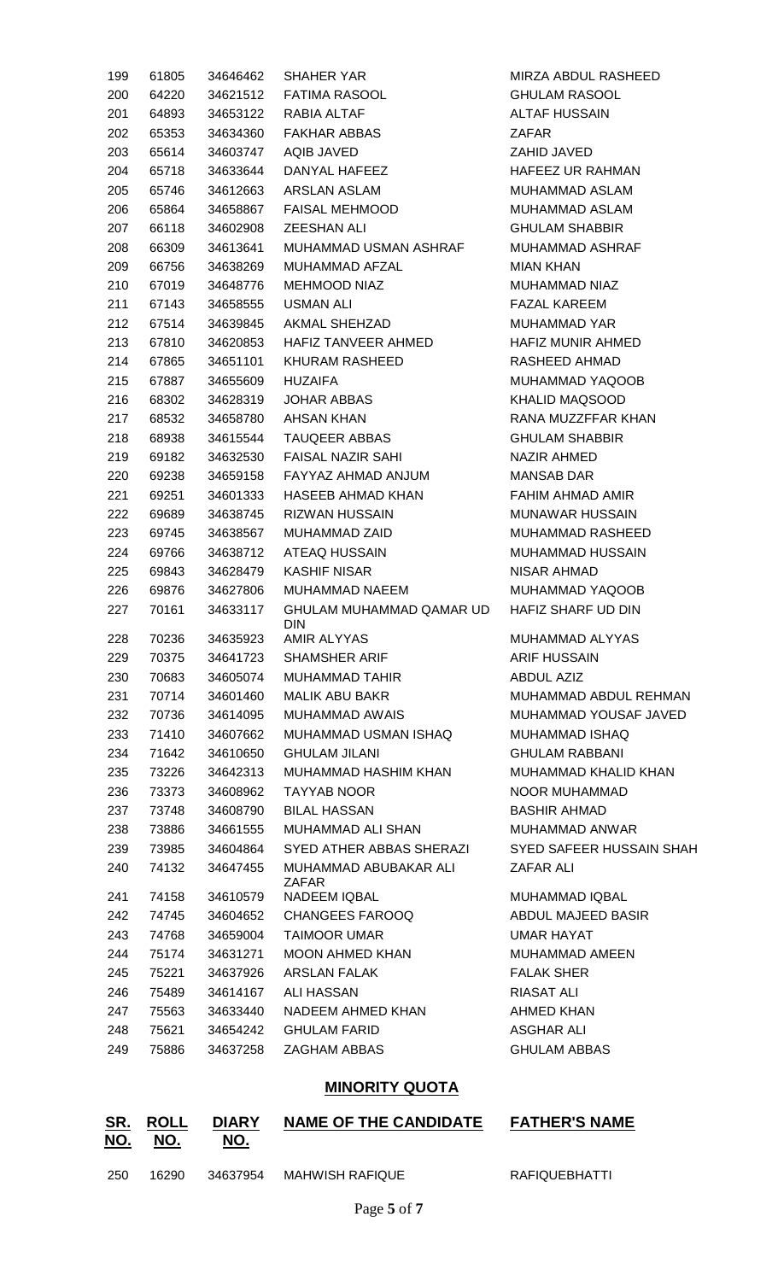| 199 | 61805 | 34646462 | <b>SHAHER YAR</b>                      | MIRZA ABDUL RASHEED      |
|-----|-------|----------|----------------------------------------|--------------------------|
| 200 | 64220 | 34621512 | <b>FATIMA RASOOL</b>                   | <b>GHULAM RASOOL</b>     |
| 201 | 64893 | 34653122 | RABIA ALTAF                            | <b>ALTAF HUSSAIN</b>     |
| 202 | 65353 | 34634360 | <b>FAKHAR ABBAS</b>                    | ZAFAR                    |
| 203 | 65614 | 34603747 | AQIB JAVED                             | ZAHID JAVED              |
| 204 | 65718 | 34633644 | DANYAL HAFEEZ                          | <b>HAFEEZ UR RAHMAN</b>  |
| 205 | 65746 | 34612663 | ARSLAN ASLAM                           | MUHAMMAD ASLAM           |
| 206 | 65864 | 34658867 | <b>FAISAL MEHMOOD</b>                  | MUHAMMAD ASLAM           |
| 207 | 66118 | 34602908 | <b>ZEESHAN ALI</b>                     | <b>GHULAM SHABBIR</b>    |
| 208 | 66309 | 34613641 | MUHAMMAD USMAN ASHRAF                  | MUHAMMAD ASHRAF          |
| 209 | 66756 | 34638269 | MUHAMMAD AFZAL                         | <b>MIAN KHAN</b>         |
| 210 | 67019 | 34648776 | <b>MEHMOOD NIAZ</b>                    | MUHAMMAD NIAZ            |
| 211 | 67143 | 34658555 | USMAN ALI                              | <b>FAZAL KAREEM</b>      |
| 212 | 67514 | 34639845 | AKMAL SHEHZAD                          | MUHAMMAD YAR             |
| 213 | 67810 | 34620853 | HAFIZ TANVEER AHMED                    | HAFIZ MUNIR AHMED        |
| 214 | 67865 | 34651101 | <b>KHURAM RASHEED</b>                  | RASHEED AHMAD            |
| 215 | 67887 | 34655609 | <b>HUZAIFA</b>                         | MUHAMMAD YAQOOB          |
| 216 | 68302 | 34628319 | <b>JOHAR ABBAS</b>                     | <b>KHALID MAQSOOD</b>    |
| 217 | 68532 | 34658780 | AHSAN KHAN                             | RANA MUZZFFAR KHAN       |
| 218 | 68938 | 34615544 | <b>TAUQEER ABBAS</b>                   | <b>GHULAM SHABBIR</b>    |
| 219 | 69182 | 34632530 | <b>FAISAL NAZIR SAHI</b>               | <b>NAZIR AHMED</b>       |
| 220 | 69238 | 34659158 | FAYYAZ AHMAD ANJUM                     | <b>MANSAB DAR</b>        |
| 221 | 69251 | 34601333 | HASEEB AHMAD KHAN                      | FAHIM AHMAD AMIR         |
| 222 | 69689 | 34638745 | <b>RIZWAN HUSSAIN</b>                  | <b>MUNAWAR HUSSAIN</b>   |
| 223 | 69745 | 34638567 | MUHAMMAD ZAID                          | <b>MUHAMMAD RASHEED</b>  |
| 224 | 69766 | 34638712 | ATEAQ HUSSAIN                          | MUHAMMAD HUSSAIN         |
| 225 | 69843 | 34628479 | <b>KASHIF NISAR</b>                    | NISAR AHMAD              |
| 226 | 69876 | 34627806 | MUHAMMAD NAEEM                         | MUHAMMAD YAQOOB          |
| 227 | 70161 | 34633117 | GHULAM MUHAMMAD QAMAR UD<br><b>DIN</b> | HAFIZ SHARF UD DIN       |
| 228 | 70236 | 34635923 | AMIR ALYYAS                            | MUHAMMAD ALYYAS          |
| 229 | 70375 | 34641723 | SHAMSHER ARIF                          | <b>ARIF HUSSAIN</b>      |
| 230 | 70683 | 34605074 | MUHAMMAD TAHIR                         | ABDUL AZIZ               |
| 231 | 70714 | 34601460 | MALIK ABU BAKR                         | MUHAMMAD ABDUL REHMAN    |
| 232 | 70736 | 34614095 | MUHAMMAD AWAIS                         | MUHAMMAD YOUSAF JAVED    |
| 233 | 71410 | 34607662 | MUHAMMAD USMAN ISHAQ                   | MUHAMMAD ISHAQ           |
| 234 | 71642 | 34610650 | <b>GHULAM JILANI</b>                   | <b>GHULAM RABBANI</b>    |
| 235 | 73226 | 34642313 | MUHAMMAD HASHIM KHAN                   | MUHAMMAD KHALID KHAN     |
| 236 | 73373 | 34608962 | TAYYAB NOOR                            | NOOR MUHAMMAD            |
| 237 | 73748 | 34608790 | BILAL HASSAN                           | <b>BASHIR AHMAD</b>      |
| 238 | 73886 | 34661555 | MUHAMMAD ALI SHAN                      | MUHAMMAD ANWAR           |
| 239 | 73985 | 34604864 | SYED ATHER ABBAS SHERAZI               | SYED SAFEER HUSSAIN SHAH |
| 240 | 74132 | 34647455 | MUHAMMAD ABUBAKAR ALI<br><b>ZAFAR</b>  | ZAFAR ALI                |
| 241 | 74158 | 34610579 | <b>NADEEM IQBAL</b>                    | MUHAMMAD IQBAL           |
| 242 | 74745 | 34604652 | CHANGEES FAROOQ                        | ABDUL MAJEED BASIR       |
| 243 | 74768 | 34659004 | <b>TAIMOOR UMAR</b>                    | UMAR HAYAT               |
| 244 | 75174 | 34631271 | MOON AHMED KHAN                        | MUHAMMAD AMEEN           |
| 245 | 75221 | 34637926 | ARSLAN FALAK                           | <b>FALAK SHER</b>        |
| 246 | 75489 | 34614167 | ALI HASSAN                             | <b>RIASAT ALI</b>        |
| 247 | 75563 | 34633440 | NADEEM AHMED KHAN                      | <b>AHMED KHAN</b>        |
| 248 | 75621 | 34654242 | <b>GHULAM FARID</b>                    | ASGHAR ALI               |
| 249 | 75886 | 34637258 | ZAGHAM ABBAS                           | <b>GHULAM ABBAS</b>      |
|     |       |          |                                        |                          |

# **MINORITY QUOTA**

| SR.<br><u>NO.</u> | <b>ROLL</b><br>NO. | <b>DIARY</b><br>NO. | <b>NAME OF THE CANDIDATE</b> | <b>FATHER'S NAME</b> |
|-------------------|--------------------|---------------------|------------------------------|----------------------|
| -250              | 16290              | 34637954            | MAHWISH RAFIQUE              | RAFIQUEBHATTI        |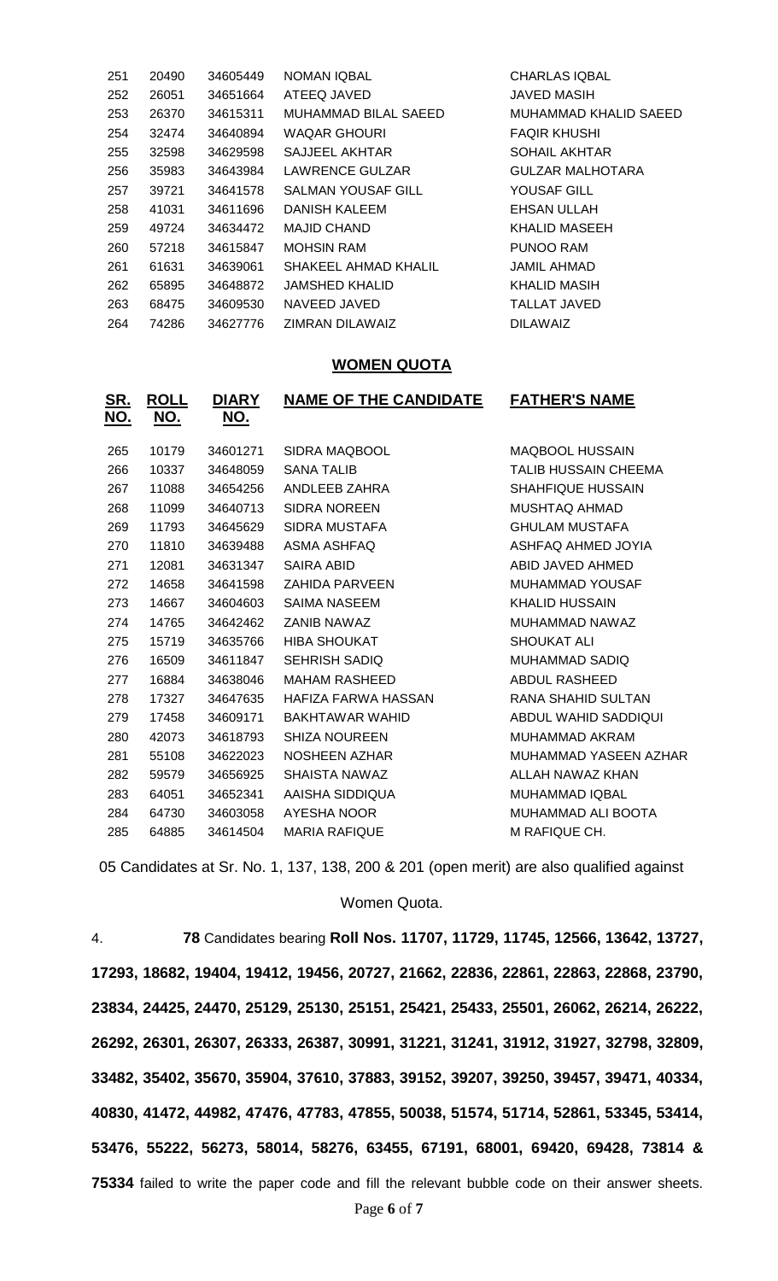| 251 | 20490 | 34605449 | <b>NOMAN IQBAL</b>        | <b>CHARLAS IQBAL</b>    |
|-----|-------|----------|---------------------------|-------------------------|
| 252 | 26051 | 34651664 | ATEEQ JAVED               | JAVED MASIH             |
| 253 | 26370 | 34615311 | MUHAMMAD BILAL SAEED      | MUHAMMAD KHALID SAEED   |
| 254 | 32474 | 34640894 | <b>WAQAR GHOURI</b>       | <b>FAQIR KHUSHI</b>     |
| 255 | 32598 | 34629598 | SAJJEEL AKHTAR            | <b>SOHAIL AKHTAR</b>    |
| 256 | 35983 | 34643984 | LAWRENCE GULZAR           | <b>GULZAR MALHOTARA</b> |
| 257 | 39721 | 34641578 | <b>SALMAN YOUSAF GILL</b> | YOUSAF GILL             |
| 258 | 41031 | 34611696 | DANISH KALEEM             | EHSAN ULLAH             |
| 259 | 49724 | 34634472 | <b>MAJID CHAND</b>        | KHALID MASEEH           |
| 260 | 57218 | 34615847 | <b>MOHSIN RAM</b>         | PUNOO RAM               |
| 261 | 61631 | 34639061 | SHAKEEL AHMAD KHALIL      | <b>JAMIL AHMAD</b>      |
| 262 | 65895 | 34648872 | <b>JAMSHED KHALID</b>     | KHALID MASIH            |
| 263 | 68475 | 34609530 | NAVEED JAVED              | <b>TALLAT JAVED</b>     |
| 264 | 74286 | 34627776 | ZIMRAN DILAWAIZ           | <b>DILAWAIZ</b>         |

#### **WOMEN QUOTA**

| <u>SR.</u><br><u>NO.</u> | <u>ROLL</u><br><u>NO.</u> | <u>DIARY</u><br><u>NO.</u> | <b>NAME OF THE CANDIDATE</b> | <b>FATHER'S NAME</b>     |
|--------------------------|---------------------------|----------------------------|------------------------------|--------------------------|
| 265                      | 10179                     | 34601271                   | SIDRA MAQBOOL                | <b>MAQBOOL HUSSAIN</b>   |
| 266                      | 10337                     | 34648059                   | <b>SANA TALIB</b>            | TALIB HUSSAIN CHEEMA     |
| 267                      | 11088                     | 34654256                   | ANDLEEB ZAHRA                | <b>SHAHFIQUE HUSSAIN</b> |
| 268                      | 11099                     | 34640713                   | <b>SIDRA NOREEN</b>          | <b>MUSHTAQ AHMAD</b>     |
| 269                      | 11793                     | 34645629                   | <b>SIDRA MUSTAFA</b>         | <b>GHULAM MUSTAFA</b>    |
| 270                      | 11810                     | 34639488                   | ASMA ASHFAQ                  | ASHFAQ AHMED JOYIA       |
| 271                      | 12081                     | 34631347                   | SAIRA ABID                   | ABID JAVED AHMED         |
| 272                      | 14658                     | 34641598                   | <b>ZAHIDA PARVEEN</b>        | <b>MUHAMMAD YOUSAF</b>   |
| 273                      | 14667                     | 34604603                   | <b>SAIMA NASEEM</b>          | <b>KHALID HUSSAIN</b>    |
| 274                      | 14765                     | 34642462                   | ZANIB NAWAZ                  | MUHAMMAD NAWAZ           |
| 275                      | 15719                     | 34635766                   | <b>HIBA SHOUKAT</b>          | SHOUKAT ALI              |
| 276                      | 16509                     | 34611847                   | <b>SEHRISH SADIQ</b>         | MUHAMMAD SADIQ           |
| 277                      | 16884                     | 34638046                   | MAHAM RASHEED                | <b>ABDUL RASHEED</b>     |
| 278                      | 17327                     | 34647635                   | HAFIZA FARWA HASSAN          | RANA SHAHID SULTAN       |
| 279                      | 17458                     | 34609171                   | BAKHTAWAR WAHID              | ABDUL WAHID SADDIQUI     |
| 280                      | 42073                     | 34618793                   | <b>SHIZA NOUREEN</b>         | MUHAMMAD AKRAM           |
| 281                      | 55108                     | 34622023                   | NOSHEEN AZHAR                | MUHAMMAD YASEEN AZHAR    |
| 282                      | 59579                     | 34656925                   | SHAISTA NAWAZ                | ALLAH NAWAZ KHAN         |
| 283                      | 64051                     | 34652341                   | AAISHA SIDDIQUA              | <b>MUHAMMAD IQBAL</b>    |
| 284                      | 64730                     | 34603058                   | AYESHA NOOR                  | MUHAMMAD ALI BOOTA       |
| 285                      | 64885                     | 34614504                   | <b>MARIA RAFIQUE</b>         | M RAFIQUE CH.            |
|                          |                           |                            |                              |                          |

05 Candidates at Sr. No. 1, 137, 138, 200 & 201 (open merit) are also qualified against

### Women Quota.

4. **78** Candidates bearing **Roll Nos. 11707, 11729, 11745, 12566, 13642, 13727, 17293, 18682, 19404, 19412, 19456, 20727, 21662, 22836, 22861, 22863, 22868, 23790, 23834, 24425, 24470, 25129, 25130, 25151, 25421, 25433, 25501, 26062, 26214, 26222, 26292, 26301, 26307, 26333, 26387, 30991, 31221, 31241, 31912, 31927, 32798, 32809, 33482, 35402, 35670, 35904, 37610, 37883, 39152, 39207, 39250, 39457, 39471, 40334, 40830, 41472, 44982, 47476, 47783, 47855, 50038, 51574, 51714, 52861, 53345, 53414, 53476, 55222, 56273, 58014, 58276, 63455, 67191, 68001, 69420, 69428, 73814 &**  failed to write the paper code and fill the relevant bubble code on their answer sheets.